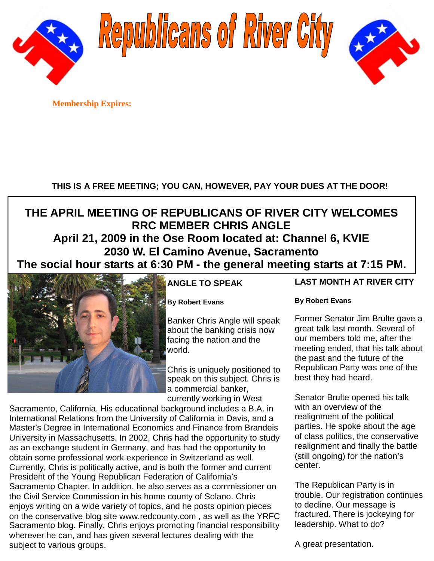

Republicans of River City



**Membership Expires:**

## **THIS IS A FREE MEETING; YOU CAN, HOWEVER, PAY YOUR DUES AT THE DOOR!**

## **THE APRIL MEETING OF REPUBLICANS OF RIVER CITY WELCOMES RRC MEMBER CHRIS ANGLE April 21, 2009 in the Ose Room located at: Channel 6, KVIE 2030 W. El Camino Avenue, Sacramento**

**The social hour starts at 6:30 PM - the general meeting starts at 7:15 PM.**



## **ANGLE TO SPEAK**

**By Robert Evans**

Banker Chris Angle will speak about the banking crisis now facing the nation and the world.

Chris is uniquely positioned to speak on this subject. Chris is a commercial banker, currently working in West

Sacramento, California. His educational background includes a B.A. in International Relations from the University of California in Davis, and a Master's Degree in International Economics and Finance from Brandeis University in Massachusetts. In 2002, Chris had the opportunity to study as an exchange student in Germany, and has had the opportunity to obtain some professional work experience in Switzerland as well. Currently, Chris is politically active, and is both the former and current President of the Young Republican Federation of California's Sacramento Chapter. In addition, he also serves as a commissioner on the Civil Service Commission in his home county of Solano. Chris enjoys writing on a wide variety of topics, and he posts opinion pieces on the conservative blog site www.redcounty.com , as well as the YRFC Sacramento blog. Finally, Chris enjoys promoting financial responsibility wherever he can, and has given several lectures dealing with the subject to various groups.

## **LAST MONTH AT RIVER CITY**

### **By Robert Evans**

Former Senator Jim Brulte gave a great talk last month. Several of our members told me, after the meeting ended, that his talk about the past and the future of the Republican Party was one of the best they had heard.

Senator Brulte opened his talk with an overview of the realignment of the political parties. He spoke about the age of class politics, the conservative realignment and finally the battle (still ongoing) for the nation's center.

The Republican Party is in trouble. Our registration continues to decline. Our message is fractured. There is jockeying for leadership. What to do?

A great presentation.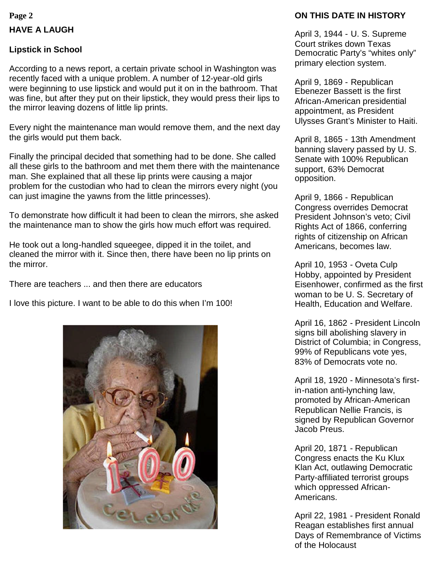## **HAVE A LAUGH**

#### **Lipstick in School**

According to a news report, a certain private school in Washington was recently faced with a unique problem. A number of 12-year-old girls were beginning to use lipstick and would put it on in the bathroom. That was fine, but after they put on their lipstick, they would press their lips to the mirror leaving dozens of little lip prints.

Every night the maintenance man would remove them, and the next day the girls would put them back.

Finally the principal decided that something had to be done. She called all these girls to the bathroom and met them there with the maintenance man. She explained that all these lip prints were causing a major problem for the custodian who had to clean the mirrors every night (you can just imagine the yawns from the little princesses).

To demonstrate how difficult it had been to clean the mirrors, she asked the maintenance man to show the girls how much effort was required.

He took out a long-handled squeegee, dipped it in the toilet, and cleaned the mirror with it. Since then, there have been no lip prints on the mirror.

There are teachers ... and then there are educators

I love this picture. I want to be able to do this when I'm 100!



## **Page 2 ON THIS DATE IN HISTORY**

April 3, 1944 - U. S. Supreme Court strikes down Texas Democratic Party's "whites only" primary election system.

April 9, 1869 - Republican Ebenezer Bassett is the first African-American presidential appointment, as President Ulysses Grant's Minister to Haiti.

April 8, 1865 - 13th Amendment banning slavery passed by U. S. Senate with 100% Republican support, 63% Democrat opposition.

April 9, 1866 - Republican Congress overrides Democrat President Johnson's veto; Civil Rights Act of 1866, conferring rights of citizenship on African Americans, becomes law.

April 10, 1953 - Oveta Culp Hobby, appointed by President Eisenhower, confirmed as the first woman to be U. S. Secretary of Health, Education and Welfare.

April 16, 1862 - President Lincoln signs bill abolishing slavery in District of Columbia; in Congress, 99% of Republicans vote yes, 83% of Democrats vote no.

April 18, 1920 - Minnesota's firstin-nation anti-lynching law, promoted by African-American Republican Nellie Francis, is signed by Republican Governor Jacob Preus.

April 20, 1871 - Republican Congress enacts the Ku Klux Klan Act, outlawing Democratic Party-affiliated terrorist groups which oppressed African-Americans.

April 22, 1981 - President Ronald Reagan establishes first annual Days of Remembrance of Victims of the Holocaust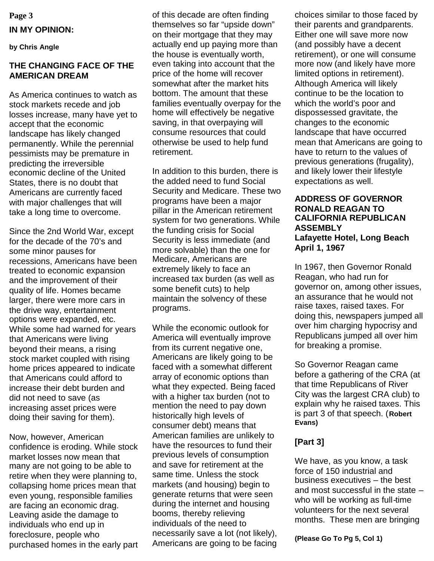**Page 3 IN MY OPINION:**

**by Chris Angle**

#### **THE CHANGING FACE OF THE AMERICAN DREAM**

As America continues to watch as stock markets recede and job losses increase, many have yet to accept that the economic landscape has likely changed permanently. While the perennial pessimists may be premature in predicting the irreversible economic decline of the United States, there is no doubt that Americans are currently faced with major challenges that will take a long time to overcome.

Since the 2nd World War, except for the decade of the 70's and some minor pauses for recessions, Americans have been treated to economic expansion and the improvement of their quality of life. Homes became larger, there were more cars in the drive way, entertainment options were expanded, etc. While some had warned for years that Americans were living beyond their means, a rising stock market coupled with rising home prices appeared to indicate that Americans could afford to increase their debt burden and did not need to save (as increasing asset prices were doing their saving for them).

Now, however, American confidence is eroding. While stock market losses now mean that many are not going to be able to retire when they were planning to, collapsing home prices mean that even young, responsible families are facing an economic drag. Leaving aside the damage to individuals who end up in foreclosure, people who purchased homes in the early part

of this decade are often finding themselves so far "upside down" on their mortgage that they may actually end up paying more than the house is eventually worth, even taking into account that the price of the home will recover somewhat after the market hits bottom. The amount that these families eventually overpay for the home will effectively be negative saving, in that overpaying will consume resources that could otherwise be used to help fund retirement.

In addition to this burden, there is the added need to fund Social Security and Medicare. These two programs have been a major pillar in the American retirement system for two generations. While the funding crisis for Social Security is less immediate (and more solvable) than the one for Medicare, Americans are extremely likely to face an increased tax burden (as well as some benefit cuts) to help maintain the solvency of these programs.

While the economic outlook for America will eventually improve from its current negative one, Americans are likely going to be faced with a somewhat different array of economic options than what they expected. Being faced with a higher tax burden (not to mention the need to pay down historically high levels of consumer debt) means that American families are unlikely to have the resources to fund their previous levels of consumption and save for retirement at the same time. Unless the stock markets (and housing) begin to generate returns that were seen during the internet and housing booms, thereby relieving individuals of the need to necessarily save a lot (not likely), Americans are going to be facing choices similar to those faced by their parents and grandparents. Either one will save more now (and possibly have a decent retirement), or one will consume more now (and likely have more limited options in retirement). Although America will likely continue to be the location to which the world's poor and dispossessed gravitate, the changes to the economic landscape that have occurred mean that Americans are going to have to return to the values of previous generations (frugality), and likely lower their lifestyle expectations as well.

#### **ADDRESS OF GOVERNOR RONALD REAGAN TO CALIFORNIA REPUBLICAN ASSEMBLY Lafayette Hotel, Long Beach April 1, 1967**

In 1967, then Governor Ronald Reagan, who had run for governor on, among other issues, an assurance that he would not raise taxes, raised taxes. For doing this, newspapers jumped all over him charging hypocrisy and Republicans jumped all over him for breaking a promise.

So Governor Reagan came before a gathering of the CRA (at that time Republicans of River City was the largest CRA club) to explain why he raised taxes. This is part 3 of that speech. (**Robert Evans)**

### **[Part 3]**

We have, as you know, a task force of 150 industrial and business executives – the best and most successful in the state – who will be working as full-time volunteers for the next several months. These men are bringing

**(Please Go To Pg 5, Col 1)**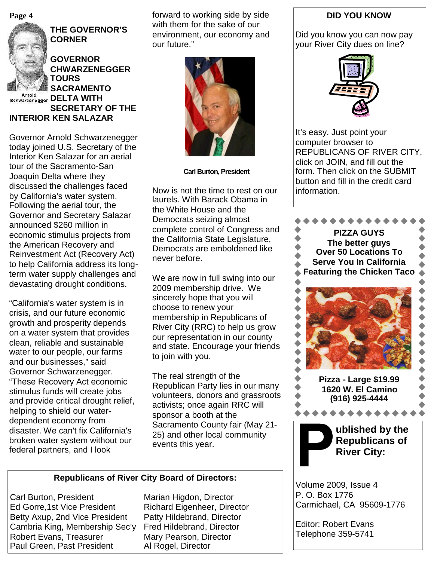**Page 4**



**THE GOVERNOR'S CORNER**

**GOVERNOR CHWARZENEGGER TOURS SACRAMENTO BChwarzenegger DELTA WITH SECRETARY OF THE INTERIOR KEN SALAZAR**

Governor Arnold Schwarzenegger today joined U.S. Secretary of the Interior Ken Salazar for an aerial tour of the Sacramento-San Joaquin Delta where they discussed the challenges faced by California's water system. Following the aerial tour, the Governor and Secretary Salazar announced \$260 million in economic stimulus projects from the American Recovery and Reinvestment Act (Recovery Act) to help California address its longterm water supply challenges and devastating drought conditions.

"California's water system is in crisis, and our future economic growth and prosperity depends on a water system that provides clean, reliable and sustainable water to our people, our farms and our businesses," said Governor Schwarzenegger. "These Recovery Act economic stimulus funds will create jobs and provide critical drought relief, helping to shield our waterdependent economy from disaster. We can't fix California's broken water system without our federal partners, and I look

forward to working side by side with them for the sake of our environment, our economy and our future."



**Carl Burton, President**

Now is not the time to rest on our laurels. With Barack Obama in the White House and the Democrats seizing almost complete control of Congress and the California State Legislature. Democrats are emboldened like never before.

We are now in full swing into our 2009 membership drive. We sincerely hope that you will choose to renew your membership in Republicans of River City (RRC) to help us grow our representation in our county and state. Encourage your friends to join with you.

The real strength of the Republican Party lies in our many volunteers, donors and grassroots activists; once again RRC will sponsor a booth at the Sacramento County fair (May 21- 25) and other local community events this year.

#### **Republicans of River City Board of Directors:**

Carl Burton, President Marian Higdon, Director Ed Gorre,1st Vice President Richard Eigenheer, Director Betty Axup, 2nd Vice President Patty Hildebrand, Director Cambria King, Membership Sec'y Fred Hildebrand, Director Robert Evans, Treasurer Mary Pearson, Director Paul Green, Past President Al Rogel, Director

#### **DID YOU KNOW**

Did you know you can now pay your River City dues on line?



It's easy. Just point your computer browser to REPUBLICANS OF RIVER CITY, click on JOIN, and fill out the form. Then click on the SUBMIT button and fill in the credit card information.



Volume 2009, Issue 4 P. O. Box 1776 Carmichael, CA 95609-1776

Editor: Robert Evans Telephone 359-5741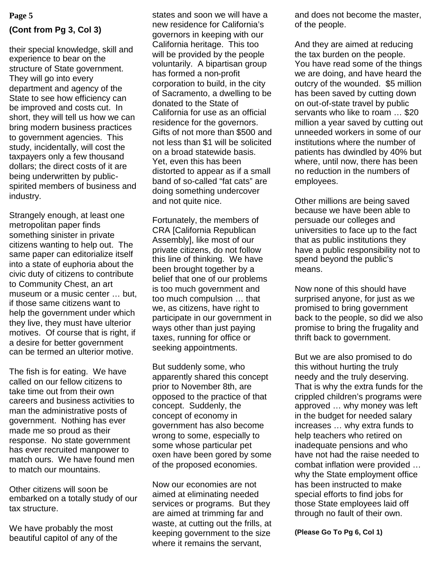# **(Cont from Pg 3, Col 3)**

their special knowledge, skill and experience to bear on the structure of State government. They will go into every department and agency of the State to see how efficiency can be improved and costs cut. In short, they will tell us how we can bring modern business practices to government agencies. This study, incidentally, will cost the taxpayers only a few thousand dollars; the direct costs of it are being underwritten by publicspirited members of business and industry.

Strangely enough, at least one metropolitan paper finds something sinister in private citizens wanting to help out. The same paper can editorialize itself into a state of euphoria about the civic duty of citizens to contribute to Community Chest, an art museum or a music center … but, if those same citizens want to help the government under which they live, they must have ulterior motives. Of course that is right, if a desire for better government can be termed an ulterior motive.

The fish is for eating. We have called on our fellow citizens to take time out from their own careers and business activities to man the administrative posts of government. Nothing has ever made me so proud as their response. No state government has ever recruited manpower to match ours. We have found men to match our mountains.

Other citizens will soon be embarked on a totally study of our tax structure.

We have probably the most beautiful capitol of any of the

states and soon we will have a new residence for California's governors in keeping with our California heritage. This too will be provided by the people voluntarily. A bipartisan group has formed a non-profit corporation to build, in the city of Sacramento, a dwelling to be donated to the State of California for use as an official residence for the governors. Gifts of not more than \$500 and not less than \$1 will be solicited on a broad statewide basis. Yet, even this has been distorted to appear as if a small band of so-called "fat cats" are doing something undercover and not quite nice.

Fortunately, the members of CRA [California Republican Assembly], like most of our private citizens, do not follow this line of thinking. We have been brought together by a belief that one of our problems is too much government and too much compulsion … that we, as citizens, have right to participate in our government in ways other than just paying taxes, running for office or seeking appointments.

But suddenly some, who apparently shared this concept prior to November 8th, are opposed to the practice of that concept. Suddenly, the concept of economy in government has also become wrong to some, especially to some whose particular pet oxen have been gored by some of the proposed economies.

Now our economies are not aimed at eliminating needed services or programs. But they are aimed at trimming far and waste, at cutting out the frills, at keeping government to the size where it remains the servant,

**Page 5** and soon we will have a band does not become the master, of the people.

> And they are aimed at reducing the tax burden on the people. You have read some of the things we are doing, and have heard the outcry of the wounded. \$5 million has been saved by cutting down on out-of-state travel by public servants who like to roam … \$20 million a year saved by cutting out unneeded workers in some of our institutions where the number of patients has dwindled by 40% but where, until now, there has been no reduction in the numbers of employees.

Other millions are being saved because we have been able to persuade our colleges and universities to face up to the fact that as public institutions they have a public responsibility not to spend beyond the public's means.

Now none of this should have surprised anyone, for just as we promised to bring government back to the people, so did we also promise to bring the frugality and thrift back to government.

But we are also promised to do this without hurting the truly needy and the truly deserving. That is why the extra funds for the crippled children's programs were approved … why money was left in the budget for needed salary increases … why extra funds to help teachers who retired on inadequate pensions and who have not had the raise needed to combat inflation were provided … why the State employment office has been instructed to make special efforts to find jobs for those State employees laid off through no fault of their own.

**(Please Go To Pg 6, Col 1)**